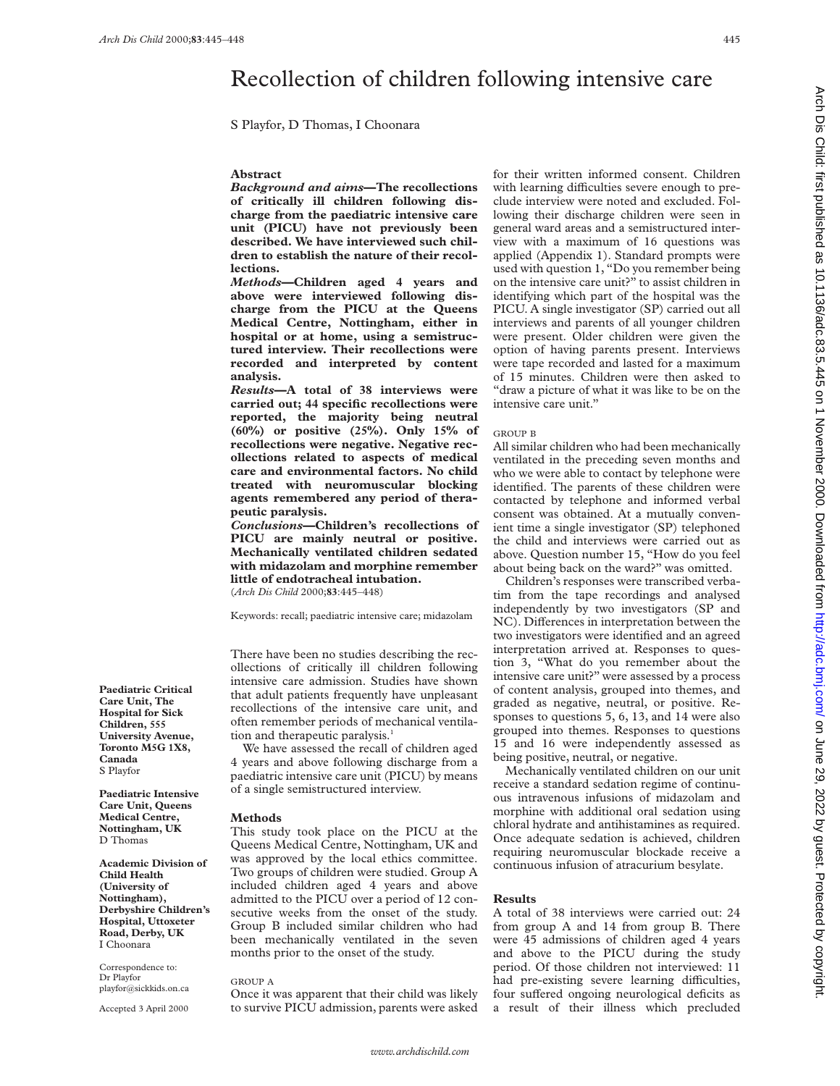# Recollection of children following intensive care

S Playfor, D Thomas, I Choonara

### **Abstract**

*Background and aims***—The recollections of critically ill children following discharge from the paediatric intensive care unit (PICU) have not previously been described. We have interviewed such children to establish the nature of their recollections.**

*Methods***—Children aged 4 years and above were interviewed following discharge from the PICU at the Queens Medical Centre, Nottingham, either in hospital or at home, using a semistructured interview. Their recollections were recorded and interpreted by content analysis.**

*Results***—A total of 38 interviews were carried out; 44 specific recollections were reported, the majority being neutral (60%) or positive (25%). Only 15% of recollections were negative. Negative recollections related to aspects of medical care and environmental factors. No child treated with neuromuscular blocking agents remembered any period of therapeutic paralysis.**

*Conclusions***—Children's recollections of PICU are mainly neutral or positive. Mechanically ventilated children sedated with midazolam and morphine remember little of endotracheal intubation.** (*Arch Dis Child* 2000;**83**:445–448)

Keywords: recall; paediatric intensive care; midazolam

There have been no studies describing the recollections of critically ill children following intensive care admission. Studies have shown that adult patients frequently have unpleasant recollections of the intensive care unit, and often remember periods of mechanical ventilation and therapeutic paralysis.<sup>1</sup>

We have assessed the recall of children aged 4 years and above following discharge from a paediatric intensive care unit (PICU) by means of a single semistructured interview.

#### **Methods**

This study took place on the PICU at the Queens Medical Centre, Nottingham, UK and was approved by the local ethics committee. Two groups of children were studied. Group A included children aged 4 years and above admitted to the PICU over a period of 12 consecutive weeks from the onset of the study. Group B included similar children who had been mechanically ventilated in the seven months prior to the onset of the study.

#### GROUP A

Once it was apparent that their child was likely to survive PICU admission, parents were asked for their written informed consent. Children with learning difficulties severe enough to preclude interview were noted and excluded. Following their discharge children were seen in general ward areas and a semistructured interview with a maximum of 16 questions was applied (Appendix 1). Standard prompts were used with question 1, "Do you remember being on the intensive care unit?" to assist children in identifying which part of the hospital was the PICU. A single investigator (SP) carried out all interviews and parents of all younger children were present. Older children were given the option of having parents present. Interviews were tape recorded and lasted for a maximum of 15 minutes. Children were then asked to "draw a picture of what it was like to be on the intensive care unit."

#### GROUP B

All similar children who had been mechanically ventilated in the preceding seven months and who we were able to contact by telephone were identified. The parents of these children were contacted by telephone and informed verbal consent was obtained. At a mutually convenient time a single investigator (SP) telephoned the child and interviews were carried out as above. Question number 15, "How do you feel about being back on the ward?" was omitted.

Children's responses were transcribed verbatim from the tape recordings and analysed independently by two investigators (SP and NC). Differences in interpretation between the two investigators were identified and an agreed interpretation arrived at. Responses to question 3, "What do you remember about the intensive care unit?" were assessed by a process of content analysis, grouped into themes, and graded as negative, neutral, or positive. Responses to questions 5, 6, 13, and 14 were also grouped into themes. Responses to questions 15 and 16 were independently assessed as being positive, neutral, or negative.

Mechanically ventilated children on our unit receive a standard sedation regime of continuous intravenous infusions of midazolam and morphine with additional oral sedation using chloral hydrate and antihistamines as required. Once adequate sedation is achieved, children requiring neuromuscular blockade receive a continuous infusion of atracurium besylate.

#### **Results**

A total of 38 interviews were carried out: 24 from group A and 14 from group B. There were 45 admissions of children aged 4 years and above to the PICU during the study period. Of those children not interviewed: 11 had pre-existing severe learning difficulties, four suffered ongoing neurological deficits as a result of their illness which precluded

**Paediatric Critical Care Unit, The Hospital for Sick Children, 555 University Avenue, Toronto M5G 1X8, Canada** S Playfor

**Paediatric Intensive Care Unit, Queens Medical Centre, Nottingham, UK** D Thomas

**Academic Division of Child Health (University of Nottingham), Derbyshire Children's Hospital, Uttoxeter Road, Derby, UK** I Choonara

Correspondence to: Dr Playfor playfor@sickkids.on.ca

Accepted 3 April 2000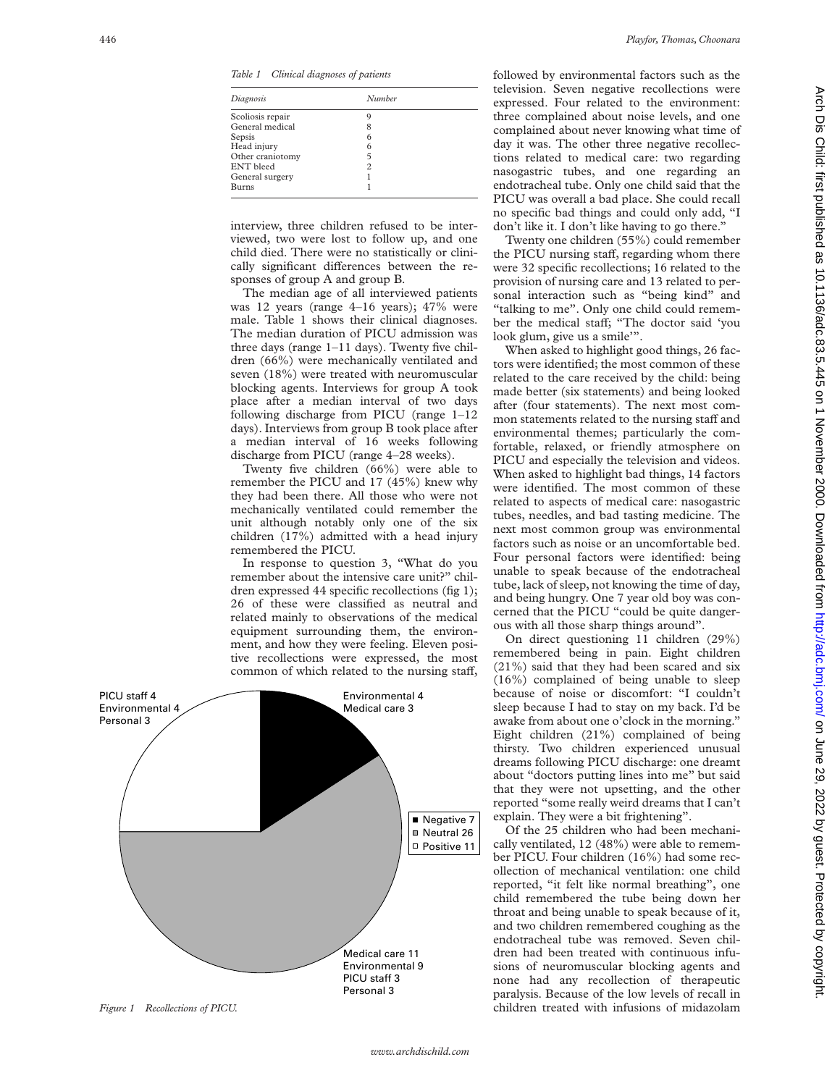*Table 1 Clinical diagnoses of patients*

| Diagnosis        | Number |  |
|------------------|--------|--|
| Scoliosis repair | 9      |  |
| General medical  | 8      |  |
| Sepsis           | 6      |  |
| Head injury      | 6      |  |
| Other craniotomy | 5      |  |
| <b>ENT</b> bleed | 2      |  |
| General surgery  |        |  |
| <b>Burns</b>     |        |  |

interview, three children refused to be interviewed, two were lost to follow up, and one child died. There were no statistically or clinically significant differences between the responses of group A and group B.

The median age of all interviewed patients was 12 years (range 4–16 years); 47% were male. Table 1 shows their clinical diagnoses. The median duration of PICU admission was three days (range 1–11 days). Twenty five children (66%) were mechanically ventilated and seven (18%) were treated with neuromuscular blocking agents. Interviews for group A took place after a median interval of two days following discharge from PICU (range 1–12 days). Interviews from group B took place after a median interval of 16 weeks following discharge from PICU (range 4–28 weeks).

Twenty five children (66%) were able to remember the PICU and 17 (45%) knew why they had been there. All those who were not mechanically ventilated could remember the unit although notably only one of the six children (17%) admitted with a head injury remembered the PICU.

In response to question 3, "What do you remember about the intensive care unit?" children expressed 44 specific recollections (fig 1); 26 of these were classified as neutral and related mainly to observations of the medical equipment surrounding them, the environment, and how they were feeling. Eleven positive recollections were expressed, the most common of which related to the nursing staff,



followed by environmental factors such as the television. Seven negative recollections were expressed. Four related to the environment: three complained about noise levels, and one complained about never knowing what time of day it was. The other three negative recollections related to medical care: two regarding nasogastric tubes, and one regarding an endotracheal tube. Only one child said that the PICU was overall a bad place. She could recall no specific bad things and could only add, "I don't like it. I don't like having to go there."

Twenty one children (55%) could remember the PICU nursing staff, regarding whom there were 32 specific recollections; 16 related to the provision of nursing care and 13 related to personal interaction such as "being kind" and "talking to me". Only one child could remember the medical staff; "The doctor said 'you look glum, give us a smile'".

When asked to highlight good things, 26 factors were identified; the most common of these related to the care received by the child: being made better (six statements) and being looked after (four statements). The next most common statements related to the nursing staff and environmental themes; particularly the comfortable, relaxed, or friendly atmosphere on PICU and especially the television and videos. When asked to highlight bad things, 14 factors were identified. The most common of these related to aspects of medical care: nasogastric tubes, needles, and bad tasting medicine. The next most common group was environmental factors such as noise or an uncomfortable bed. Four personal factors were identified: being unable to speak because of the endotracheal tube, lack of sleep, not knowing the time of day, and being hungry. One 7 year old boy was concerned that the PICU "could be quite dangerous with all those sharp things around".

On direct questioning 11 children (29%) remembered being in pain. Eight children (21%) said that they had been scared and six (16%) complained of being unable to sleep because of noise or discomfort: "I couldn't sleep because I had to stay on my back. I'd be awake from about one o'clock in the morning." Eight children (21%) complained of being thirsty. Two children experienced unusual dreams following PICU discharge: one dreamt about "doctors putting lines into me" but said that they were not upsetting, and the other reported "some really weird dreams that I can't explain. They were a bit frightening".

Of the 25 children who had been mechanically ventilated, 12 (48%) were able to remember PICU. Four children (16%) had some recollection of mechanical ventilation: one child reported, "it felt like normal breathing", one child remembered the tube being down her throat and being unable to speak because of it, and two children remembered coughing as the endotracheal tube was removed. Seven children had been treated with continuous infusions of neuromuscular blocking agents and none had any recollection of therapeutic paralysis. Because of the low levels of recall in children treated with infusions of midazolam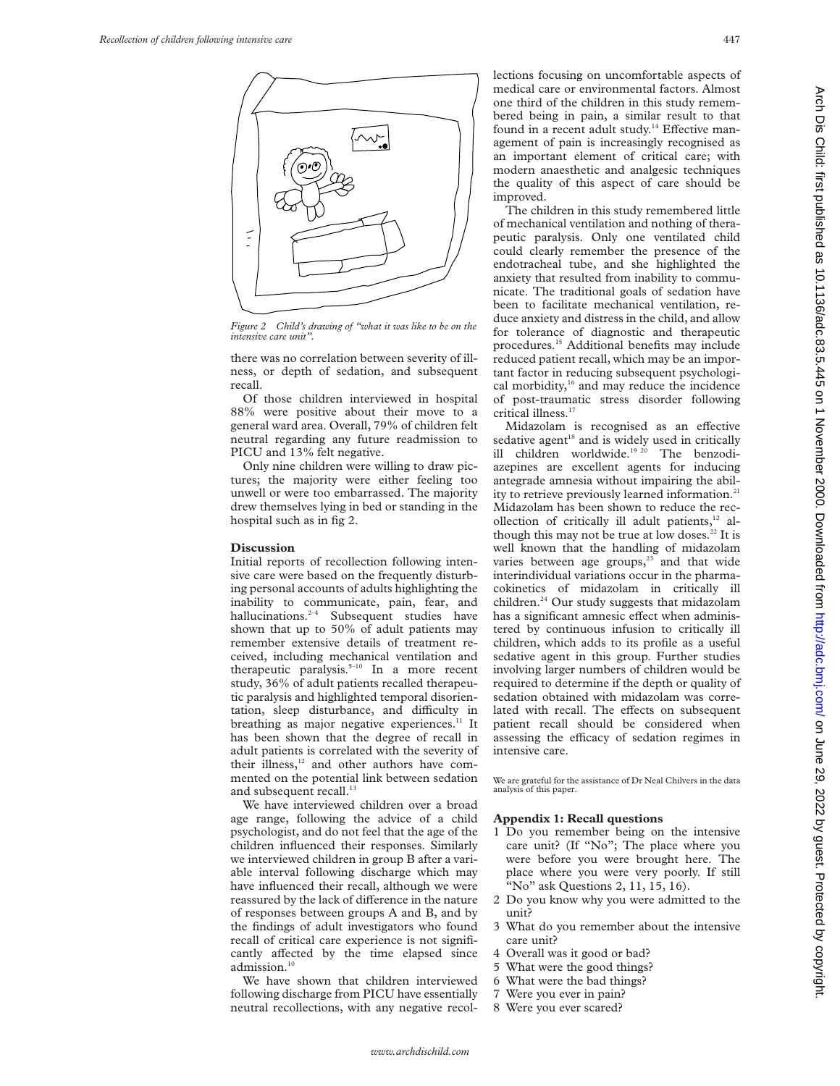

*Figure 2 Child's drawing of "what it was like to be on the intensive care unit".*

there was no correlation between severity of illness, or depth of sedation, and subsequent recall.

Of those children interviewed in hospital 88% were positive about their move to a general ward area. Overall, 79% of children felt neutral regarding any future readmission to PICU and 13% felt negative.

Only nine children were willing to draw pictures; the majority were either feeling too unwell or were too embarrassed. The majority drew themselves lying in bed or standing in the hospital such as in fig 2.

## **Discussion**

Initial reports of recollection following intensive care were based on the frequently disturbing personal accounts of adults highlighting the inability to communicate, pain, fear, and hallucinations.<sup>2-4</sup> Subsequent studies have shown that up to 50% of adult patients may remember extensive details of treatment received, including mechanical ventilation and therapeutic paralysis.<sup> $5-10$ </sup> In a more recent study, 36% of adult patients recalled therapeutic paralysis and highlighted temporal disorientation, sleep disturbance, and difficulty in breathing as major negative experiences. $11$  It has been shown that the degree of recall in adult patients is correlated with the severity of their illness,<sup>12</sup> and other authors have commented on the potential link between sedation and subsequent recall.<sup>13</sup>

We have interviewed children over a broad age range, following the advice of a child psychologist, and do not feel that the age of the children influenced their responses. Similarly we interviewed children in group B after a variable interval following discharge which may have influenced their recall, although we were reassured by the lack of difference in the nature of responses between groups A and B, and by the findings of adult investigators who found recall of critical care experience is not significantly affected by the time elapsed since admission.<sup>10</sup>

We have shown that children interviewed following discharge from PICU have essentially neutral recollections, with any negative recollections focusing on uncomfortable aspects of medical care or environmental factors. Almost one third of the children in this study remembered being in pain, a similar result to that found in a recent adult study.<sup>14</sup> Effective management of pain is increasingly recognised as an important element of critical care; with modern anaesthetic and analgesic techniques the quality of this aspect of care should be improved.

The children in this study remembered little of mechanical ventilation and nothing of therapeutic paralysis. Only one ventilated child could clearly remember the presence of the endotracheal tube, and she highlighted the anxiety that resulted from inability to communicate. The traditional goals of sedation have been to facilitate mechanical ventilation, reduce anxiety and distress in the child, and allow for tolerance of diagnostic and therapeutic procedures.15 Additional benefits may include reduced patient recall, which may be an important factor in reducing subsequent psychological morbidity,<sup>16</sup> and may reduce the incidence of post-traumatic stress disorder following critical illness.<sup>17</sup>

Midazolam is recognised as an effective sedative agent<sup>18</sup> and is widely used in critically ill children worldwide.<sup>19 20</sup> The benzodiazepines are excellent agents for inducing antegrade amnesia without impairing the ability to retrieve previously learned information.<sup>21</sup> Midazolam has been shown to reduce the recollection of critically ill adult patients, $12$  although this may not be true at low doses. $22$  It is well known that the handling of midazolam varies between age groups, $23$  and that wide interindividual variations occur in the pharmacokinetics of midazolam in critically ill children.<sup>24</sup> Our study suggests that midazolam has a significant amnesic effect when administered by continuous infusion to critically ill children, which adds to its profile as a useful sedative agent in this group. Further studies involving larger numbers of children would be required to determine if the depth or quality of sedation obtained with midazolam was correlated with recall. The effects on subsequent patient recall should be considered when assessing the efficacy of sedation regimes in intensive care.

We are grateful for the assistance of Dr Neal Chilvers in the data analysis of this paper.

## **Appendix 1: Recall questions**

- 1 Do you remember being on the intensive care unit? (If "No"; The place where you were before you were brought here. The place where you were very poorly. If still "No" ask Questions 2, 11, 15, 16).
- 2 Do you know why you were admitted to the unit?
- 3 What do you remember about the intensive care unit?
- 4 Overall was it good or bad?
- 5 What were the good things?
- 6 What were the bad things?
- 7 Were you ever in pain?
- 8 Were you ever scared?